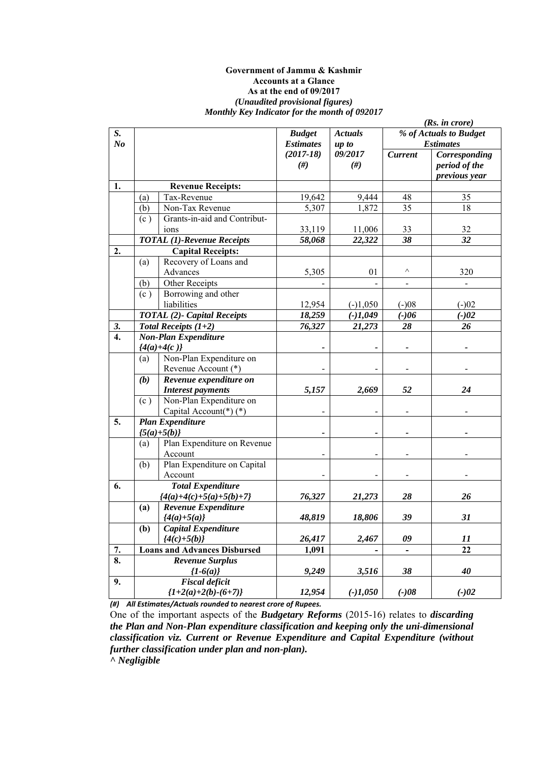#### **Government of Jammu & Kashmir Accounts at a Glance As at the end of 09/2017**  *(Unaudited provisional figures) Monthly Key Indicator for the month of 092017*

|                  |     |                                     |                  |                |                              | (Rs. in <i>core</i> )  |
|------------------|-----|-------------------------------------|------------------|----------------|------------------------------|------------------------|
| S.               |     |                                     | <b>Budget</b>    | <b>Actuals</b> |                              | % of Actuals to Budget |
| N <sub>o</sub>   |     |                                     | <b>Estimates</b> | up to          |                              | <b>Estimates</b>       |
|                  |     |                                     | $(2017 - 18)$    | 09/2017        | <b>Current</b>               | Corresponding          |
|                  |     |                                     | #)               | $(\#)$         |                              | period of the          |
|                  |     |                                     |                  |                |                              | previous year          |
| 1.               |     | <b>Revenue Receipts:</b>            |                  |                |                              |                        |
|                  | (a) | Tax-Revenue                         | 19,642           | 9,444          | 48                           | 35                     |
|                  | (b) | Non-Tax Revenue                     | 5,307            | 1,872          | 35                           | 18                     |
|                  | (c) | Grants-in-aid and Contribut-        |                  |                |                              |                        |
|                  |     | ions                                | 33,119           | 11,006         | 33                           | 32                     |
|                  |     | <b>TOTAL</b> (1)-Revenue Receipts   | 58,068           | 22,322         | 38                           | 32                     |
| 2.               |     | <b>Capital Receipts:</b>            |                  |                |                              |                        |
|                  | (a) | Recovery of Loans and               |                  |                |                              |                        |
|                  |     | Advances                            | 5,305            | 01             | $\wedge$                     | 320                    |
|                  | (b) | Other Receipts                      |                  |                | $\overline{\phantom{a}}$     |                        |
|                  | (c) | Borrowing and other                 |                  |                |                              |                        |
|                  |     | liabilities                         | 12,954           | $(-)1,050$     | $(-)08$                      | $(-)02$                |
|                  |     | <b>TOTAL</b> (2)- Capital Receipts  | 18,259           | $(-)1,049$     | $(-)06$                      | $(-)02$                |
| 3.               |     | Total Receipts $(1+2)$              | 76,327           | 21,273         | 28                           | 26                     |
| $\overline{4}$ . |     | <b>Non-Plan Expenditure</b>         |                  |                |                              |                        |
|                  |     | ${4(a)+4(c)}$                       |                  |                |                              |                        |
|                  | (a) | Non-Plan Expenditure on             |                  |                |                              |                        |
|                  |     | Revenue Account (*)                 |                  |                |                              |                        |
|                  | (b) | Revenue expenditure on              |                  |                |                              |                        |
|                  |     | <b>Interest payments</b>            | 5,157            | 2,669          | 52                           | 24                     |
|                  | (c) | Non-Plan Expenditure on             |                  |                |                              |                        |
|                  |     | Capital Account(*) $(*)$            |                  |                |                              |                        |
| 5.               |     | <b>Plan Expenditure</b>             |                  |                |                              |                        |
|                  |     | ${5(a)+5(b)}$                       |                  |                |                              |                        |
|                  | (a) | Plan Expenditure on Revenue         |                  |                |                              |                        |
|                  |     | Account                             |                  |                |                              |                        |
|                  | (b) | Plan Expenditure on Capital         |                  |                |                              |                        |
|                  |     | Account                             |                  |                |                              |                        |
| 6.               |     | <b>Total Expenditure</b>            |                  |                |                              |                        |
|                  |     | ${4(a)+4(c)+5(a)+5(b)+7}$           | 76,327           | 21,273         | 28                           | 26                     |
|                  | (a) | Revenue Expenditure                 |                  |                |                              |                        |
|                  |     | ${4(a)+5(a)}$                       | 48,819           | 18,806         | 39                           | 31                     |
|                  | (b) | Capital Expenditure                 |                  |                |                              |                        |
|                  |     | ${4(c)+5(b)}$                       | 26,417           | 2,467          | 09                           | 11                     |
| 7.               |     | <b>Loans and Advances Disbursed</b> | 1,091            |                | $\qquad \qquad \blacksquare$ | 22                     |
| 8.               |     | <b>Revenue Surplus</b>              |                  |                |                              |                        |
|                  |     | ${1-6(a)}$                          | 9,249            | 3,516          | 38                           | 40                     |
| 9.               |     | <b>Fiscal deficit</b>               |                  |                |                              |                        |
|                  |     | ${1+2(a)+2(b)-(6+7)}$               | 12,954           | $(-)1,050$     | $(-)08$                      | $(-)02$                |

*(#) All Estimates/Actuals rounded to nearest crore of Rupees.* 

One of the important aspects of the *Budgetary Reforms* (2015-16) relates to *discarding the Plan and Non-Plan expenditure classification and keeping only the uni-dimensional classification viz. Current or Revenue Expenditure and Capital Expenditure (without further classification under plan and non-plan).* 

*^ Negligible*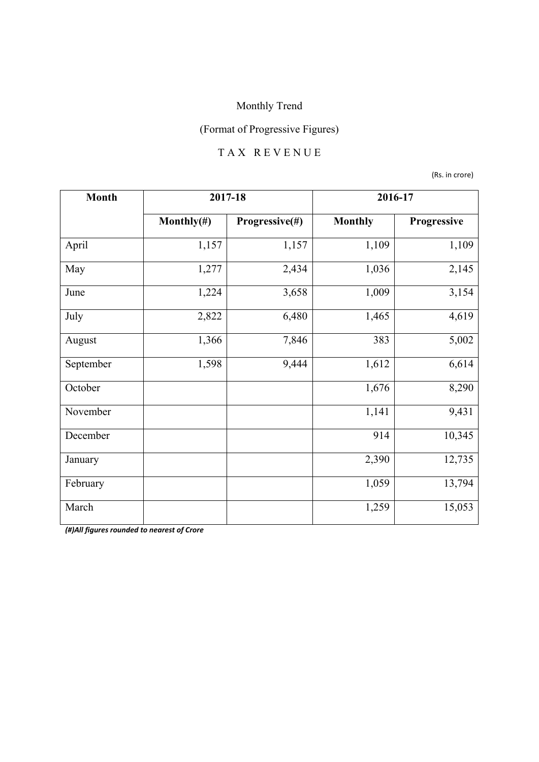## (Format of Progressive Figures)

#### T A X R E V E N U E

(Rs. in crore)

| <b>Month</b> | 2017-18        |                | 2016-17        |             |
|--------------|----------------|----------------|----------------|-------------|
|              | Monthly $(\#)$ | Progressive(#) | <b>Monthly</b> | Progressive |
| April        | 1,157          | 1,157          | 1,109          | 1,109       |
| May          | 1,277          | 2,434          | 1,036          | 2,145       |
| June         | 1,224          | 3,658          | 1,009          | 3,154       |
| July         | 2,822          | 6,480          | 1,465          | 4,619       |
| August       | 1,366          | 7,846          | 383            | 5,002       |
| September    | 1,598          | 9,444          | 1,612          | 6,614       |
| October      |                |                | 1,676          | 8,290       |
| November     |                |                | 1,141          | 9,431       |
| December     |                |                | 914            | 10,345      |
| January      |                |                | 2,390          | 12,735      |
| February     |                |                | 1,059          | 13,794      |
| March        |                |                | 1,259          | 15,053      |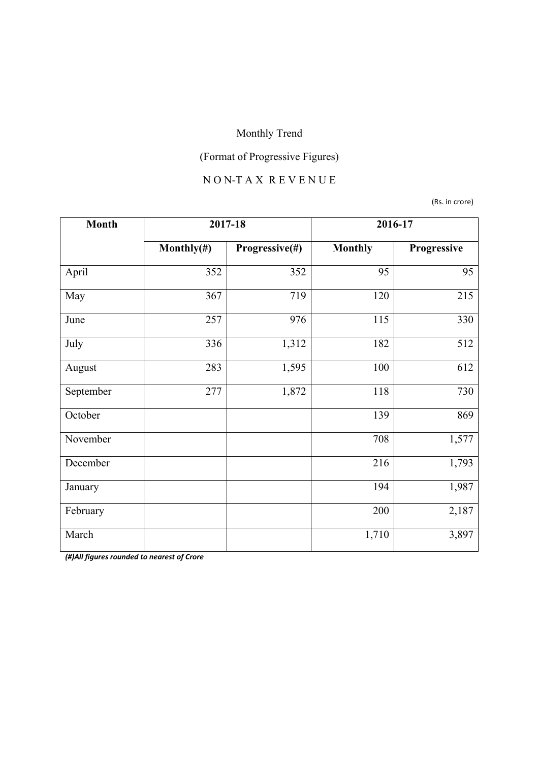# (Format of Progressive Figures)

## N O N-T A X R E V E N U E

(Rs. in crore)

| <b>Month</b> | 2017-18        |                | 2016-17        |             |
|--------------|----------------|----------------|----------------|-------------|
|              | Monthly $(\#)$ | Progressive(#) | <b>Monthly</b> | Progressive |
| April        | 352            | 352            | 95             | 95          |
| May          | 367            | 719            | 120            | 215         |
| June         | 257            | 976            | 115            | 330         |
| July         | 336            | 1,312          | 182            | 512         |
| August       | 283            | 1,595          | 100            | 612         |
| September    | 277            | 1,872          | 118            | 730         |
| October      |                |                | 139            | 869         |
| November     |                |                | 708            | 1,577       |
| December     |                |                | 216            | 1,793       |
| January      |                |                | 194            | 1,987       |
| February     |                |                | 200            | 2,187       |
| March        |                |                | 1,710          | 3,897       |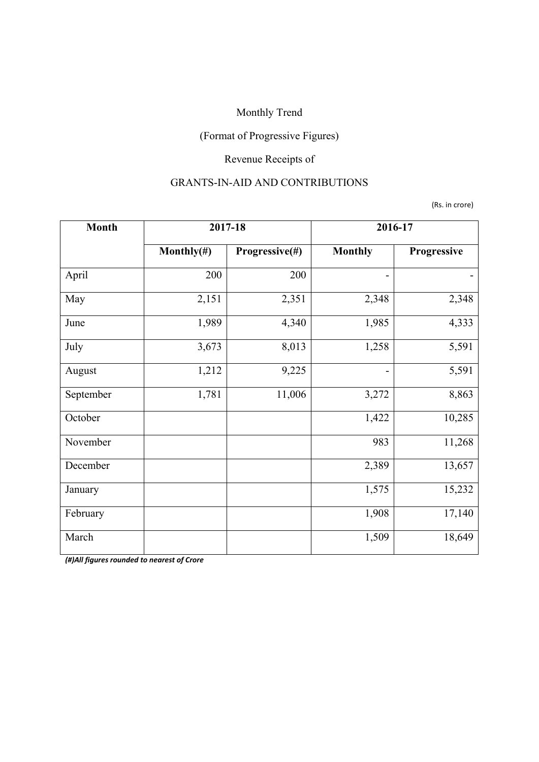## (Format of Progressive Figures)

## Revenue Receipts of

#### GRANTS-IN-AID AND CONTRIBUTIONS

(Rs. in crore)

| <b>Month</b> | 2017-18        |                | 2016-17                  |             |
|--------------|----------------|----------------|--------------------------|-------------|
|              | Monthly $(\#)$ | Progressive(#) | <b>Monthly</b>           | Progressive |
| April        | 200            | 200            |                          |             |
| May          | 2,151          | 2,351          | 2,348                    | 2,348       |
| June         | 1,989          | 4,340          | 1,985                    | 4,333       |
| July         | 3,673          | 8,013          | 1,258                    | 5,591       |
| August       | 1,212          | 9,225          | $\overline{\phantom{a}}$ | 5,591       |
| September    | 1,781          | 11,006         | 3,272                    | 8,863       |
| October      |                |                | 1,422                    | 10,285      |
| November     |                |                | 983                      | 11,268      |
| December     |                |                | 2,389                    | 13,657      |
| January      |                |                | 1,575                    | 15,232      |
| February     |                |                | 1,908                    | 17,140      |
| March        |                |                | 1,509                    | 18,649      |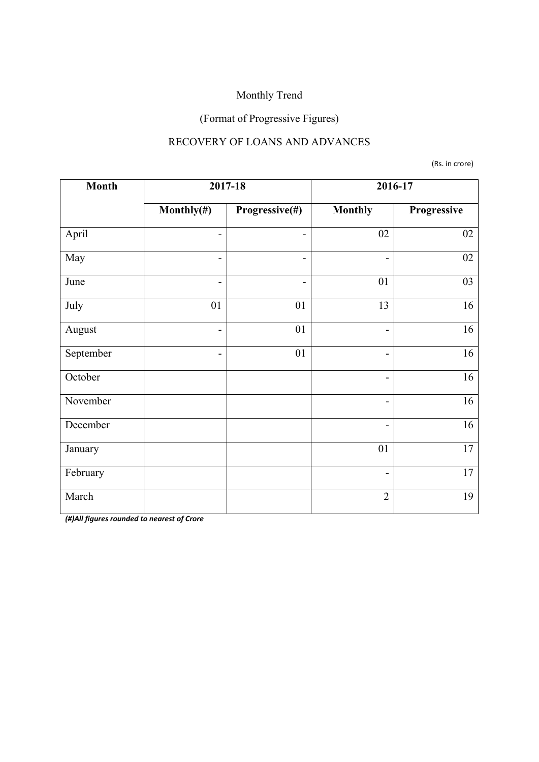## (Format of Progressive Figures)

#### RECOVERY OF LOANS AND ADVANCES

(Rs. in crore)

| <b>Month</b> |                | 2017-18                  |                              | 2016-17     |
|--------------|----------------|--------------------------|------------------------------|-------------|
|              | Monthly $(\#)$ | Progressive(#)           | <b>Monthly</b>               | Progressive |
| April        | -              | -                        | 02                           | 02          |
| May          | -              | $\overline{\phantom{0}}$ | $\overline{\phantom{a}}$     | $02\,$      |
| June         | $\overline{a}$ | -                        | 01                           | 03          |
| July         | 01             | 01                       | 13                           | 16          |
| August       | $\overline{a}$ | 01                       | $\blacksquare$               | 16          |
| September    | -              | 01                       | $\qquad \qquad \blacksquare$ | 16          |
| October      |                |                          | $\overline{\phantom{a}}$     | 16          |
| November     |                |                          | $\overline{\phantom{a}}$     | 16          |
| December     |                |                          | $\overline{\phantom{0}}$     | 16          |
| January      |                |                          | 01                           | 17          |
| February     |                |                          | $\overline{\phantom{a}}$     | 17          |
| March        |                |                          | $\overline{2}$               | 19          |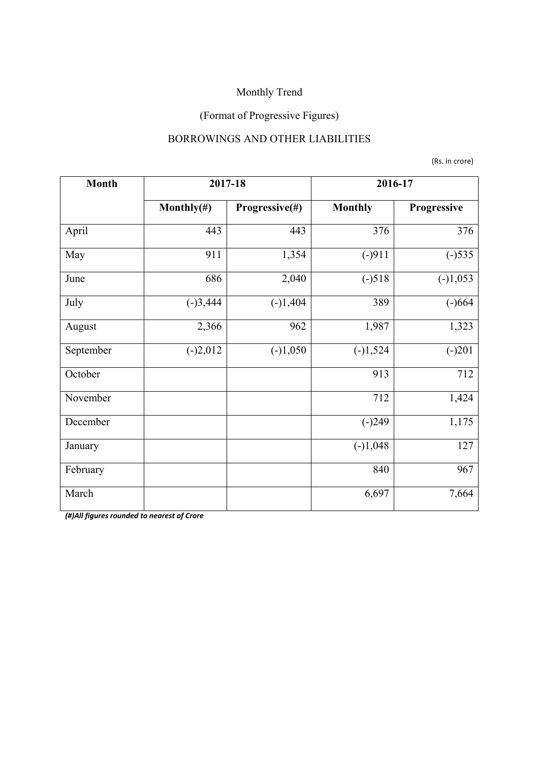## (Format of Progressive Figures)

#### BORROWINGS AND OTHER LIABILITIES

(Rs. in crore)

| <b>Month</b> |                | 2017-18        | 2016-17        |             |
|--------------|----------------|----------------|----------------|-------------|
|              | Monthly $(\#)$ | Progressive(#) | <b>Monthly</b> | Progressive |
| April        | 443            | 443            | 376            | 376         |
| May          | 911            | 1,354          | $(-)911$       | $(-)535$    |
| June         | 686            | 2,040          | $(-)518$       | $(-)1,053$  |
| July         | $(-)3,444$     | $(-)1,404$     | 389            | $(-)664$    |
| August       | 2,366          | 962            | 1,987          | 1,323       |
| September    | $(-)2,012$     | $(-)1,050$     | $(-)1,524$     | $(-)201$    |
| October      |                |                | 913            | 712         |
| November     |                |                | 712            | 1,424       |
| December     |                |                | $(-)249$       | 1,175       |
| January      |                |                | $(-)1,048$     | 127         |
| February     |                |                | 840            | 967         |
| March        |                |                | 6,697          | 7,664       |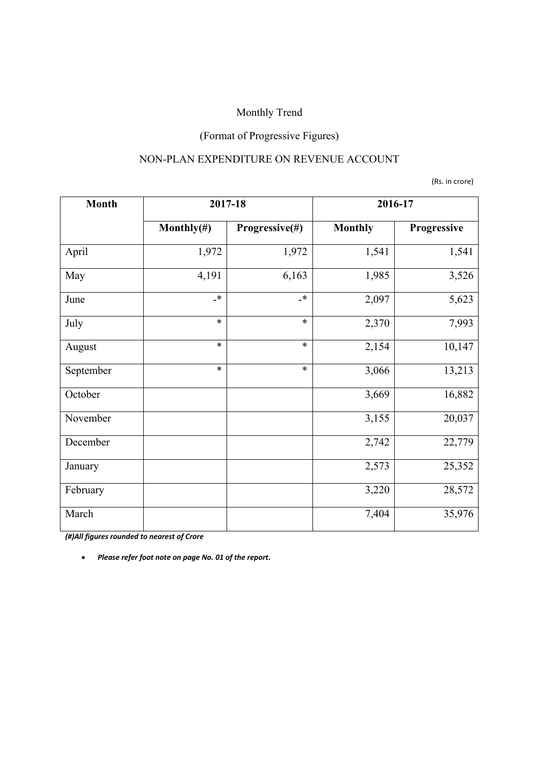## (Format of Progressive Figures)

#### NON-PLAN EXPENDITURE ON REVENUE ACCOUNT

(Rs. in crore)

| <b>Month</b> | 2017-18        |                  | 2016-17        |             |
|--------------|----------------|------------------|----------------|-------------|
|              | Monthly $(\#)$ | Progressive(#)   | <b>Monthly</b> | Progressive |
| April        | 1,972          | 1,972            | 1,541          | 1,541       |
| May          | 4,191          | 6,163            | 1,985          | 3,526       |
| June         | $\mathbf{R}^*$ | $\mathbf{\cdot}$ | 2,097          | 5,623       |
| July         | $\ast$         | $\ast$           | 2,370          | 7,993       |
| August       | $\ast$         | $\ast$           | 2,154          | 10,147      |
| September    | $\ast$         | $\ast$           | 3,066          | 13,213      |
| October      |                |                  | 3,669          | 16,882      |
| November     |                |                  | 3,155          | 20,037      |
| December     |                |                  | 2,742          | 22,779      |
| January      |                |                  | 2,573          | 25,352      |
| February     |                |                  | 3,220          | 28,572      |
| March        |                |                  | 7,404          | 35,976      |

*(#)All figures rounded to nearest of Crore*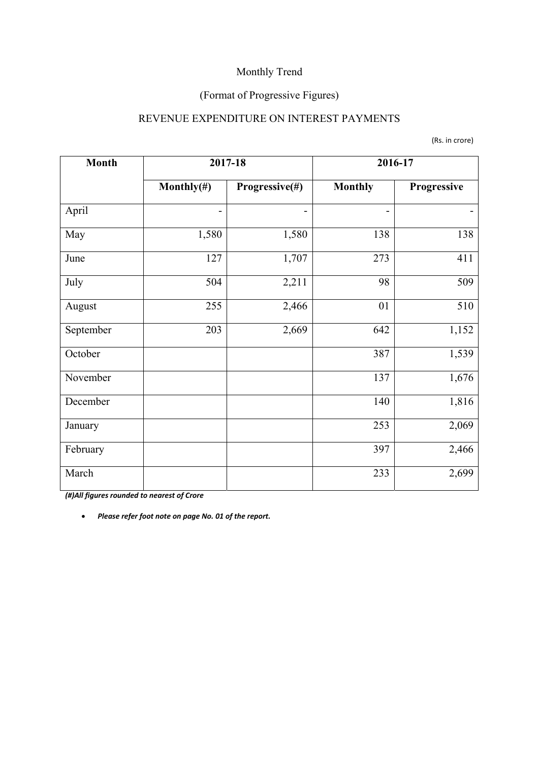## (Format of Progressive Figures)

#### REVENUE EXPENDITURE ON INTEREST PAYMENTS

|  |  | (Rs. in crore) |
|--|--|----------------|
|--|--|----------------|

| <b>Month</b> |                          | 2017-18        | 2016-17        |             |
|--------------|--------------------------|----------------|----------------|-------------|
|              | Monthly $(\#)$           | Progressive(#) | <b>Monthly</b> | Progressive |
| April        | $\overline{\phantom{0}}$ |                | $\overline{a}$ |             |
| May          | 1,580                    | 1,580          | 138            | 138         |
| June         | 127                      | 1,707          | 273            | 411         |
| July         | 504                      | 2,211          | 98             | 509         |
| August       | 255                      | 2,466          | 01             | 510         |
| September    | 203                      | 2,669          | 642            | 1,152       |
| October      |                          |                | 387            | 1,539       |
| November     |                          |                | 137            | 1,676       |
| December     |                          |                | 140            | 1,816       |
| January      |                          |                | 253            | 2,069       |
| February     |                          |                | 397            | 2,466       |
| March        |                          |                | 233            | 2,699       |

*(#)All figures rounded to nearest of Crore*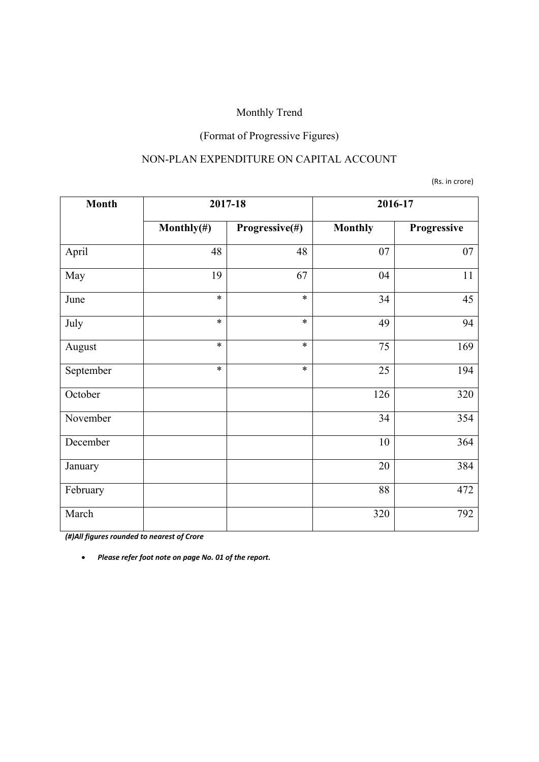## (Format of Progressive Figures)

#### NON-PLAN EXPENDITURE ON CAPITAL ACCOUNT

(Rs. in crore)

| <b>Month</b> | 2017-18        |                | 2016-17        |             |
|--------------|----------------|----------------|----------------|-------------|
|              | Monthly $(\#)$ | Progressive(#) | <b>Monthly</b> | Progressive |
| April        | 48             | 48             | 07             | 07          |
| May          | 19             | 67             | 04             | 11          |
| June         | $\ast$         | $\ast$         | 34             | 45          |
| July         | $\ast$         | $\ast$         | 49             | 94          |
| August       | $\ast$         | $\ast$         | 75             | 169         |
| September    | $\ast$         | $\ast$         | 25             | 194         |
| October      |                |                | 126            | 320         |
| November     |                |                | 34             | 354         |
| December     |                |                | 10             | 364         |
| January      |                |                | 20             | 384         |
| February     |                |                | 88             | 472         |
| March        |                |                | 320            | 792         |

*(#)All figures rounded to nearest of Crore*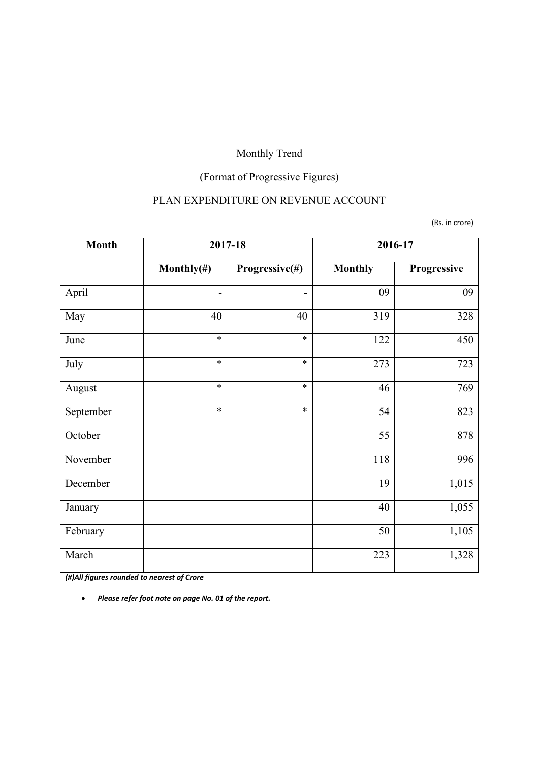## (Format of Progressive Figures)

### PLAN EXPENDITURE ON REVENUE ACCOUNT

(Rs. in crore)

| <b>Month</b> | 2017-18                      |                | 2016-17        |             |
|--------------|------------------------------|----------------|----------------|-------------|
|              | Monthly $(\#)$               | Progressive(#) | <b>Monthly</b> | Progressive |
| April        | $\qquad \qquad \blacksquare$ |                | 09             | 09          |
| May          | 40                           | 40             | 319            | 328         |
| June         | $\ast$                       | $\ast$         | 122            | 450         |
| July         | $\ast$                       | $\ast$         | 273            | 723         |
| August       | $\ast$                       | $\ast$         | 46             | 769         |
| September    | $\ast$                       | $\ast$         | 54             | 823         |
| October      |                              |                | 55             | 878         |
| November     |                              |                | 118            | 996         |
| December     |                              |                | 19             | 1,015       |
| January      |                              |                | 40             | 1,055       |
| February     |                              |                | 50             | 1,105       |
| March        |                              |                | 223            | 1,328       |

*(#)All figures rounded to nearest of Crore*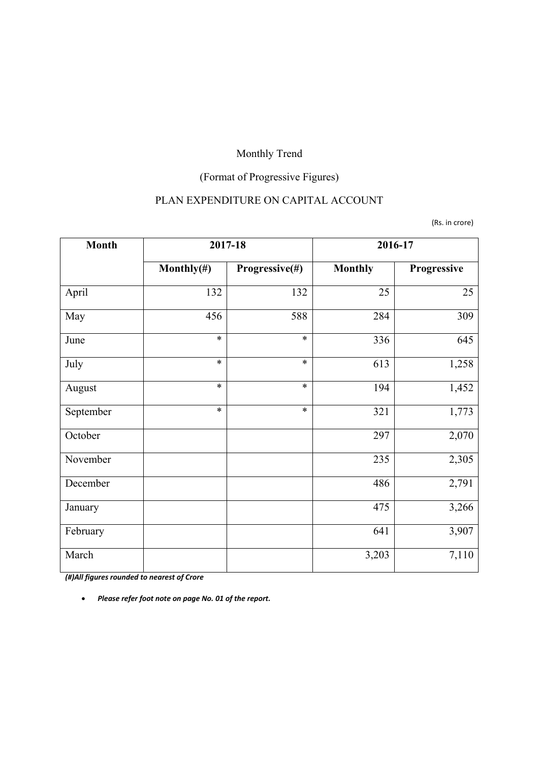## (Format of Progressive Figures)

### PLAN EXPENDITURE ON CAPITAL ACCOUNT

(Rs. in crore)

| <b>Month</b> | 2017-18        |                | 2016-17        |             |
|--------------|----------------|----------------|----------------|-------------|
|              | Monthly $(\#)$ | Progressive(#) | <b>Monthly</b> | Progressive |
| April        | 132            | 132            | 25             | 25          |
| May          | 456            | 588            | 284            | 309         |
| June         | $\ast$         | $\ast$         | 336            | 645         |
| July         | $\ast$         | $\ast$         | 613            | 1,258       |
| August       | $\ast$         | $\ast$         | 194            | 1,452       |
| September    | $\ast$         | $\ast$         | 321            | 1,773       |
| October      |                |                | 297            | 2,070       |
| November     |                |                | 235            | 2,305       |
| December     |                |                | 486            | 2,791       |
| January      |                |                | 475            | 3,266       |
| February     |                |                | 641            | 3,907       |
| March        |                |                | 3,203          | 7,110       |

*(#)All figures rounded to nearest of Crore*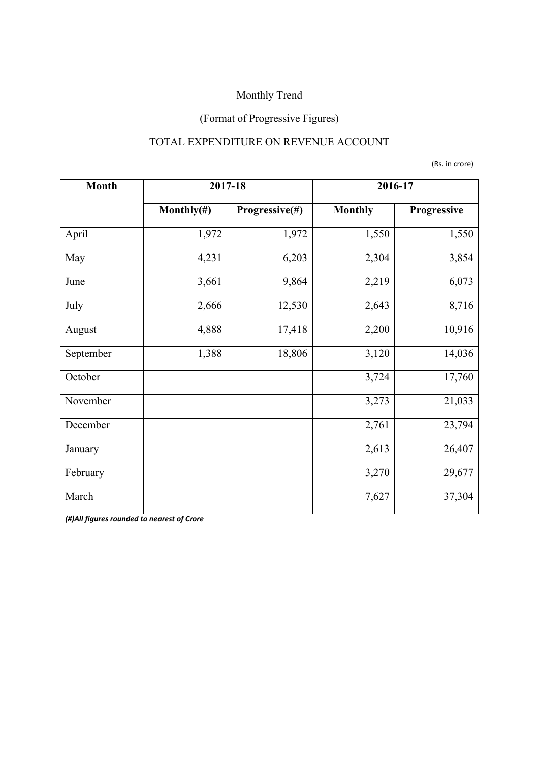## (Format of Progressive Figures)

### TOTAL EXPENDITURE ON REVENUE ACCOUNT

(Rs. in crore)

| <b>Month</b> | 2017-18        |                | 2016-17        |             |  |
|--------------|----------------|----------------|----------------|-------------|--|
|              | Monthly $(\#)$ | Progressive(#) | <b>Monthly</b> | Progressive |  |
| April        | 1,972          | 1,972          | 1,550          | 1,550       |  |
| May          | 4,231          | 6,203          | 2,304          | 3,854       |  |
| June         | 3,661          | 9,864          | 2,219          | 6,073       |  |
| July         | 2,666          | 12,530         | 2,643          | 8,716       |  |
| August       | 4,888          | 17,418         | 2,200          | 10,916      |  |
| September    | 1,388          | 18,806         | 3,120          | 14,036      |  |
| October      |                |                | 3,724          | 17,760      |  |
| November     |                |                | 3,273          | 21,033      |  |
| December     |                |                | 2,761          | 23,794      |  |
| January      |                |                | 2,613          | 26,407      |  |
| February     |                |                | 3,270          | 29,677      |  |
| March        |                |                | 7,627          | 37,304      |  |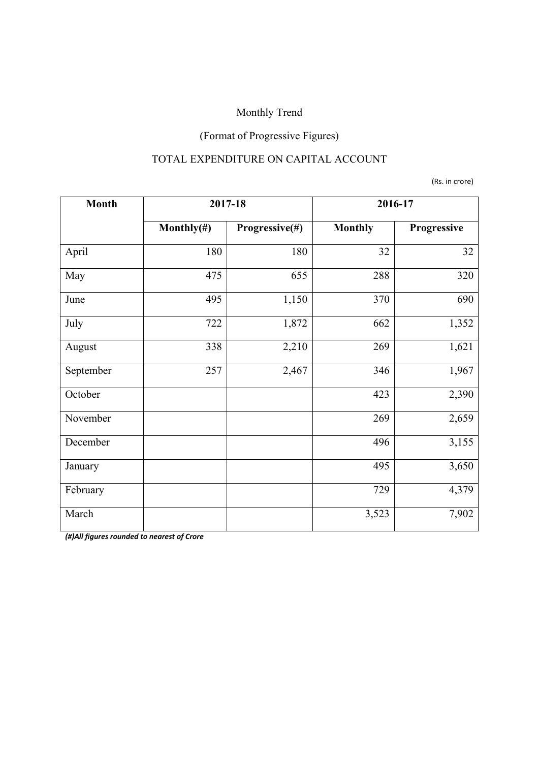## (Format of Progressive Figures)

### TOTAL EXPENDITURE ON CAPITAL ACCOUNT

(Rs. in crore)

| <b>Month</b> | 2017-18                          |       | 2016-17        |             |  |
|--------------|----------------------------------|-------|----------------|-------------|--|
|              | Progressive(#)<br>Monthly $(\#)$ |       | <b>Monthly</b> | Progressive |  |
| April        | 180                              | 180   | 32             | 32          |  |
| May          | 475                              | 655   | 288            | 320         |  |
| June         | 495                              | 1,150 | 370            | 690         |  |
| July         | 722                              | 1,872 | 662            | 1,352       |  |
| August       | 338                              | 2,210 | 269            | 1,621       |  |
| September    | 257                              | 2,467 | 346            | 1,967       |  |
| October      |                                  |       | 423            | 2,390       |  |
| November     |                                  |       | 269            | 2,659       |  |
| December     |                                  |       | 496            | 3,155       |  |
| January      |                                  |       | 495            | 3,650       |  |
| February     |                                  |       | 729            | 4,379       |  |
| March        |                                  |       | 3,523          | 7,902       |  |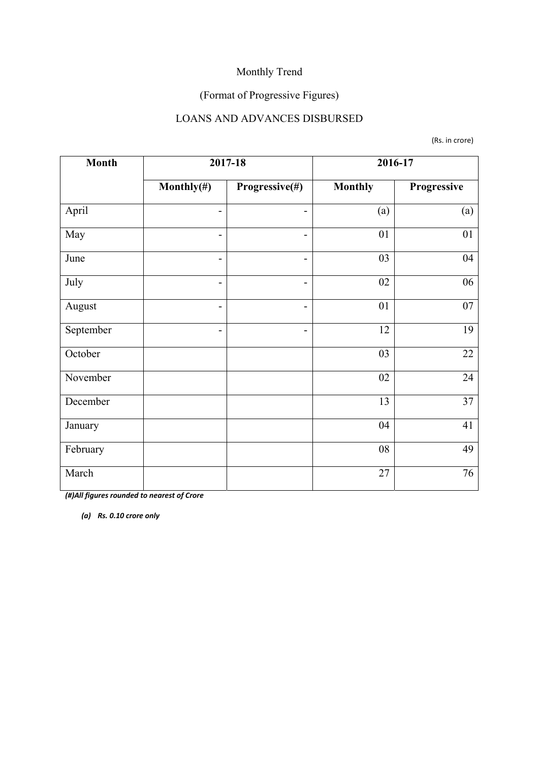## (Format of Progressive Figures)

#### LOANS AND ADVANCES DISBURSED

(Rs. in crore)

| <b>Month</b> |                              | 2017-18        | 2016-17        |             |  |
|--------------|------------------------------|----------------|----------------|-------------|--|
|              | Monthly $(\#)$               | Progressive(#) | <b>Monthly</b> | Progressive |  |
| April        | -                            | -              | (a)            | (a)         |  |
| May          | $\qquad \qquad \blacksquare$ | -              | 01             | 01          |  |
| June         | -                            | -              | 03             | 04          |  |
| July         | $\overline{\phantom{a}}$     | -              | 02             | 06          |  |
| August       | $\overline{\phantom{a}}$     | -              | 01             | 07          |  |
| September    | $\overline{\phantom{a}}$     | -              | 12             | 19          |  |
| October      |                              |                | 03             | 22          |  |
| November     |                              |                | 02             | 24          |  |
| December     |                              |                | 13             | 37          |  |
| January      |                              |                | 04             | 41          |  |
| February     |                              |                | 08             | 49          |  |
| March        |                              |                | 27             | 76          |  |

*(#)All figures rounded to nearest of Crore* 

*(a) Rs. 0.10 crore only*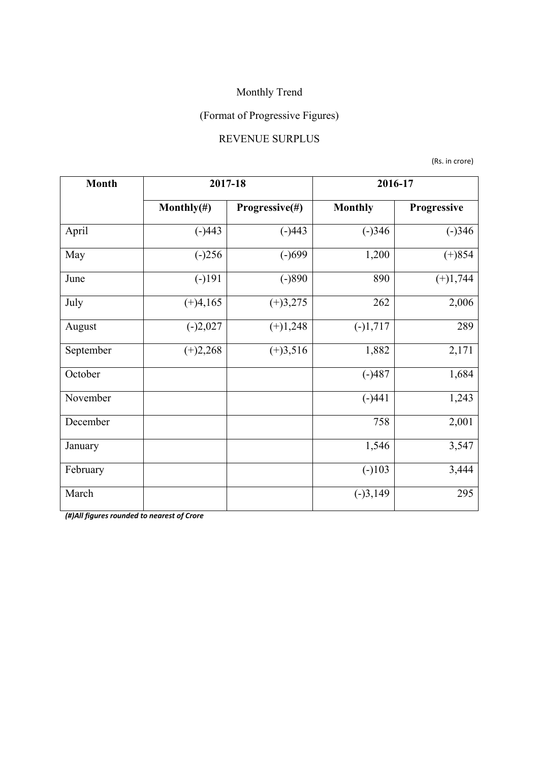## (Format of Progressive Figures)

#### REVENUE SURPLUS

(Rs. in crore)

| <b>Month</b> | 2017-18        |                | 2016-17        |             |  |
|--------------|----------------|----------------|----------------|-------------|--|
|              | Monthly $(\#)$ | Progressive(#) | <b>Monthly</b> | Progressive |  |
| April        | $(-)443$       | $(-)443$       | $(-)346$       | $(-)346$    |  |
| May          | $(-)256$       | $(-)699$       | 1,200          | $(+)854$    |  |
| June         | $(-)191$       | $(-)890$       | 890            | $(+)1,744$  |  |
| July         | $(+)4,165$     | $(+)3,275$     | 262            | 2,006       |  |
| August       | $(-)2,027$     | $(+)1,248$     | $(-)1,717$     | 289         |  |
| September    | $(+)2,268$     | $(+)3,516$     | 1,882          | 2,171       |  |
| October      |                |                | $(-)487$       | 1,684       |  |
| November     |                |                | $(-)441$       | 1,243       |  |
| December     |                |                | 758            | 2,001       |  |
| January      |                |                | 1,546          | 3,547       |  |
| February     |                |                | $(-)103$       | 3,444       |  |
| March        |                |                | $(-)3,149$     | 295         |  |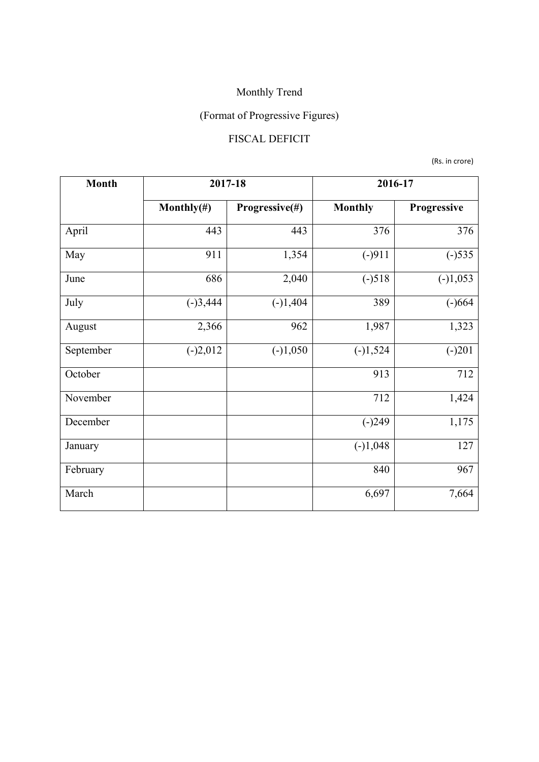# (Format of Progressive Figures)

## FISCAL DEFICIT

(Rs. in crore)

| <b>Month</b> | 2017-18        |                | 2016-17        |             |  |
|--------------|----------------|----------------|----------------|-------------|--|
|              | Monthly $(\#)$ | Progressive(#) | <b>Monthly</b> | Progressive |  |
| April        | 443            | 443            | 376            | 376         |  |
| May          | 911            | 1,354          | $(-)911$       | $(-)535$    |  |
| June         | 686            | 2,040          | $(-)518$       | $(-)1,053$  |  |
| July         | $(-)3,444$     | $(-)1,404$     | 389            | $(-)664$    |  |
| August       | 2,366          | 962            | 1,987          | 1,323       |  |
| September    | $(-)2,012$     | $(-)1,050$     | $(-)1,524$     | $(-)201$    |  |
| October      |                |                | 913            | 712         |  |
| November     |                |                | 712            | 1,424       |  |
| December     |                |                | $(-)249$       | 1,175       |  |
| January      |                |                | $(-)1,048$     | 127         |  |
| February     |                |                | 840            | 967         |  |
| March        |                |                | 6,697          | 7,664       |  |